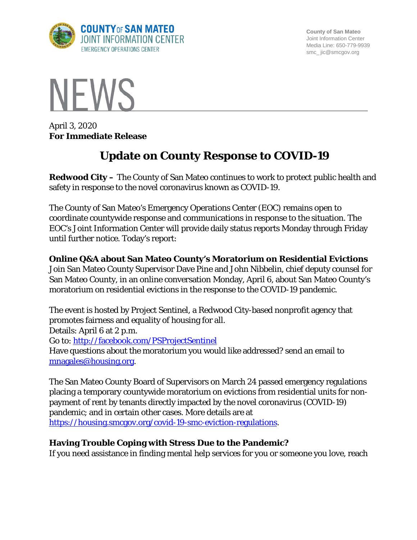

**County of San Mateo** Joint Information Center Media Line: 650-779-9939 smc\_ jic@smcgov.org



April 3, 2020 **For Immediate Release**

# **Update on County Response to COVID-19**

**Redwood City –** The County of San Mateo continues to work to protect public health and safety in response to the novel coronavirus known as COVID-19.

The County of San Mateo's Emergency Operations Center (EOC) remains open to coordinate countywide response and communications in response to the situation. The EOC's Joint Information Center will provide daily status reports Monday through Friday until further notice. Today's report:

### **Online Q&A about San Mateo County's Moratorium on Residential Evictions**

Join San Mateo County Supervisor Dave Pine and John Nibbelin, chief deputy counsel for San Mateo County, in an online conversation Monday, April 6, about San Mateo County's moratorium on residential evictions in the response to the COVID-19 pandemic.

The event is hosted by Project Sentinel, a Redwood City-based nonprofit agency that promotes fairness and equality of housing for all.

Details: April 6 at 2 p.m.

Go to:<http://facebook.com/PSProjectSentinel>

Have questions about the moratorium you would like addressed? send an email to [mnagales@housing.org.](mailto:mnagales@housing.org)

The San Mateo County Board of Supervisors on March 24 passed emergency regulations placing a temporary countywide moratorium on evictions from residential units for nonpayment of rent by tenants directly impacted by the novel coronavirus (COVID-19) pandemic; and in certain other cases. More details are at [https://housing.smcgov.org/covid-19-smc-eviction-regulations.](https://housing.smcgov.org/covid-19-smc-eviction-regulations)

## **Having Trouble Coping with Stress Due to the Pandemic?**

If you need assistance in finding mental help services for you or someone you love, reach